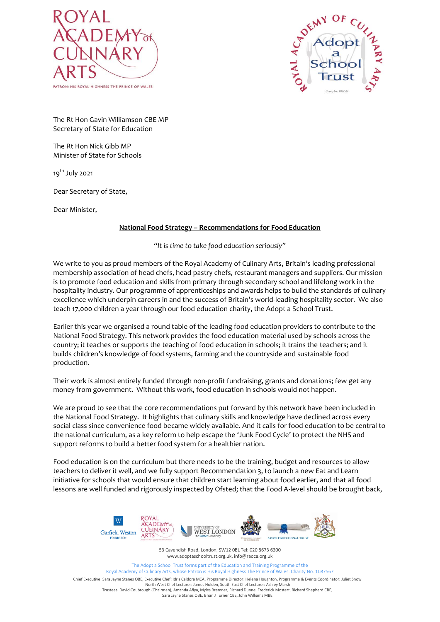



The Rt Hon Gavin Williamson CBE MP Secretary of State for Education

The Rt Hon Nick Gibb MP Minister of State for Schools

19<sup>th</sup> July 2021

Dear Secretary of State,

Dear Minister,

## **National Food Strategy – Recommendations for Food Education**

*"It is time to take food education seriously"*

We write to you as proud members of the Royal Academy of Culinary Arts, Britain's leading professional membership association of head chefs, head pastry chefs, restaurant managers and suppliers. Our mission is to promote food education and skills from primary through secondary school and lifelong work in the hospitality industry. Our programme of apprenticeships and awards helps to build the standards of culinary excellence which underpin careers in and the success of Britain's world-leading hospitality sector. We also teach 17,000 children a year through our food education charity, the Adopt a School Trust.

Earlier this year we organised a round table of the leading food education providers to contribute to the National Food Strategy. This network provides the food education material used by schools across the country; it teaches or supports the teaching of food education in schools; it trains the teachers; and it builds children's knowledge of food systems, farming and the countryside and sustainable food production.

Their work is almost entirely funded through non-profit fundraising, grants and donations; few get any money from government. Without this work, food education in schools would not happen.

We are proud to see that the core recommendations put forward by this network have been included in the National Food Strategy. It highlights that culinary skills and knowledge have declined across every social class since convenience food became widely available. And it calls for food education to be central to the national curriculum, as a key reform to help escape the 'Junk Food Cycle' to protect the NHS and support reforms to build a better food system for a healthier nation.

Food education is on the curriculum but there needs to be the training, budget and resources to allow teachers to deliver it well, and we fully support Recommendation 3, to launch a new Eat and Learn initiative for schools that would ensure that children start learning about food earlier, and that all food lessons are well funded and rigorously inspected by Ofsted; that the Food A-level should be brought back,



53 Cavendish Road, London, SW12 0BL Tel: 020 8673 6300 www.adoptaschooltrust.org.uk, info@raoca.org.uk

The Adopt a School Trust forms part of the Education and Training Programme of the Royal Academy of Culinary Arts, whose Patron is His Royal Highness The Prince of Wales. Charity No. 1087567

Chief Executive: Sara Jayne Stanes OBE, Executive Chef: Idris Caldora MCA, Programme Director: Helena Houghton, Programme & Events Coordinator: Juliet Snow North West Chef Lecturer: James Holden, South East Chef Lecturer: Ashley Marsh Trustees: David Coubrough (Chairman), Amanda Afiya, Myles Bremner, Richard Dunne, Frederick Mostert, Richard Shepherd CBE, Sara Jayne Stanes OBE, Brian J Turner CBE, John Williams MBE